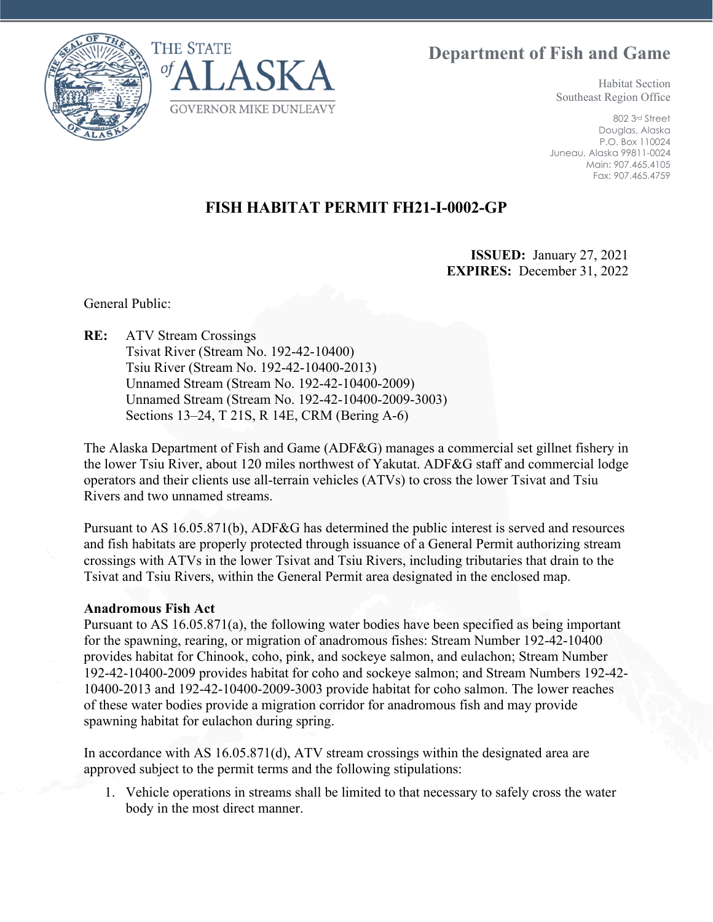**Department of Fish and Game**





Habitat Section Southeast Region Office

802 3rd Street Douglas, Alaska P.O. Box 110024 Juneau, Alaska 99811-0024 Main: 907.465.4105 Fax: 907.465.4759

## **FISH HABITAT PERMIT FH21-I-0002-GP**

**ISSUED:** January 27, 2021 **EXPIRES:** December 31, 2022

General Public:

**RE:** ATV Stream Crossings Tsivat River (Stream No. 192-42-10400) Tsiu River (Stream No. 192-42-10400-2013) Unnamed Stream (Stream No. 192-42-10400-2009) Unnamed Stream (Stream No. 192-42-10400-2009-3003) Sections 13–24, T 21S, R 14E, CRM (Bering A-6)

The Alaska Department of Fish and Game (ADF&G) manages a commercial set gillnet fishery in the lower Tsiu River, about 120 miles northwest of Yakutat. ADF&G staff and commercial lodge operators and their clients use all-terrain vehicles (ATVs) to cross the lower Tsivat and Tsiu Rivers and two unnamed streams.

Pursuant to AS 16.05.871(b), ADF&G has determined the public interest is served and resources and fish habitats are properly protected through issuance of a General Permit authorizing stream crossings with ATVs in the lower Tsivat and Tsiu Rivers, including tributaries that drain to the Tsivat and Tsiu Rivers, within the General Permit area designated in the enclosed map.

## **Anadromous Fish Act**

Pursuant to AS 16.05.871(a), the following water bodies have been specified as being important for the spawning, rearing, or migration of anadromous fishes: Stream Number 192-42-10400 provides habitat for Chinook, coho, pink, and sockeye salmon, and eulachon; Stream Number 192-42-10400-2009 provides habitat for coho and sockeye salmon; and Stream Numbers 192-42- 10400-2013 and 192-42-10400-2009-3003 provide habitat for coho salmon. The lower reaches of these water bodies provide a migration corridor for anadromous fish and may provide spawning habitat for eulachon during spring.

In accordance with AS 16.05.871(d), ATV stream crossings within the designated area are approved subject to the permit terms and the following stipulations:

1. Vehicle operations in streams shall be limited to that necessary to safely cross the water body in the most direct manner.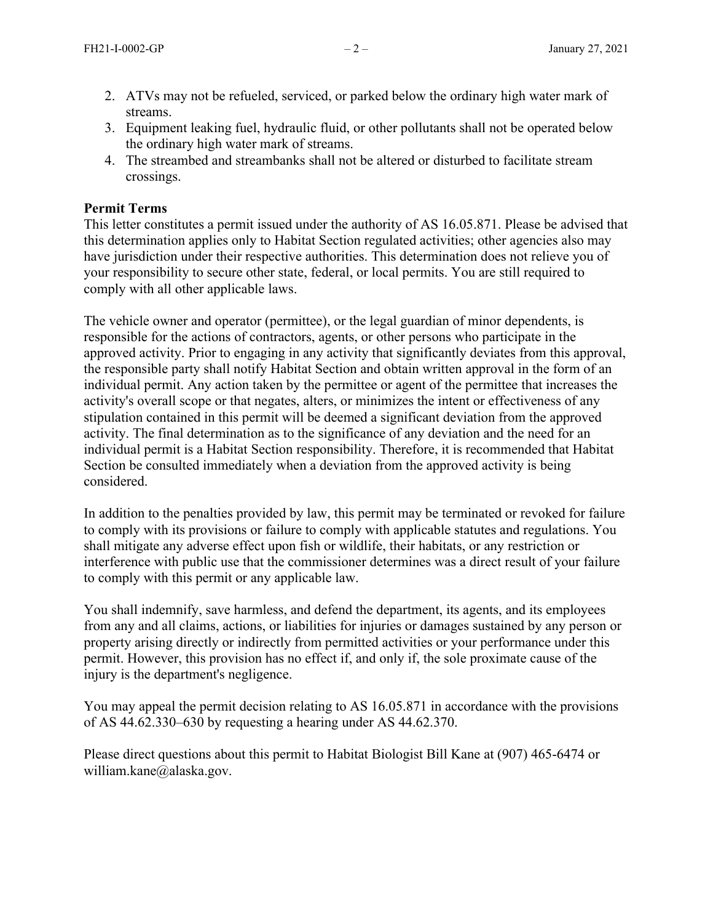- 2. ATVs may not be refueled, serviced, or parked below the ordinary high water mark of streams.
- 3. Equipment leaking fuel, hydraulic fluid, or other pollutants shall not be operated below the ordinary high water mark of streams.
- 4. The streambed and streambanks shall not be altered or disturbed to facilitate stream crossings.

## **Permit Terms**

This letter constitutes a permit issued under the authority of AS 16.05.871. Please be advised that this determination applies only to Habitat Section regulated activities; other agencies also may have jurisdiction under their respective authorities. This determination does not relieve you of your responsibility to secure other state, federal, or local permits. You are still required to comply with all other applicable laws.

The vehicle owner and operator (permittee), or the legal guardian of minor dependents, is responsible for the actions of contractors, agents, or other persons who participate in the approved activity. Prior to engaging in any activity that significantly deviates from this approval, the responsible party shall notify Habitat Section and obtain written approval in the form of an individual permit. Any action taken by the permittee or agent of the permittee that increases the activity's overall scope or that negates, alters, or minimizes the intent or effectiveness of any stipulation contained in this permit will be deemed a significant deviation from the approved activity. The final determination as to the significance of any deviation and the need for an individual permit is a Habitat Section responsibility. Therefore, it is recommended that Habitat Section be consulted immediately when a deviation from the approved activity is being considered.

In addition to the penalties provided by law, this permit may be terminated or revoked for failure to comply with its provisions or failure to comply with applicable statutes and regulations. You shall mitigate any adverse effect upon fish or wildlife, their habitats, or any restriction or interference with public use that the commissioner determines was a direct result of your failure to comply with this permit or any applicable law.

You shall indemnify, save harmless, and defend the department, its agents, and its employees from any and all claims, actions, or liabilities for injuries or damages sustained by any person or property arising directly or indirectly from permitted activities or your performance under this permit. However, this provision has no effect if, and only if, the sole proximate cause of the injury is the department's negligence.

You may appeal the permit decision relating to AS 16.05.871 in accordance with the provisions of AS 44.62.330–630 by requesting a hearing under AS 44.62.370.

Please direct questions about this permit to Habitat Biologist Bill Kane at (907) 465-6474 or william.kane@alaska.gov.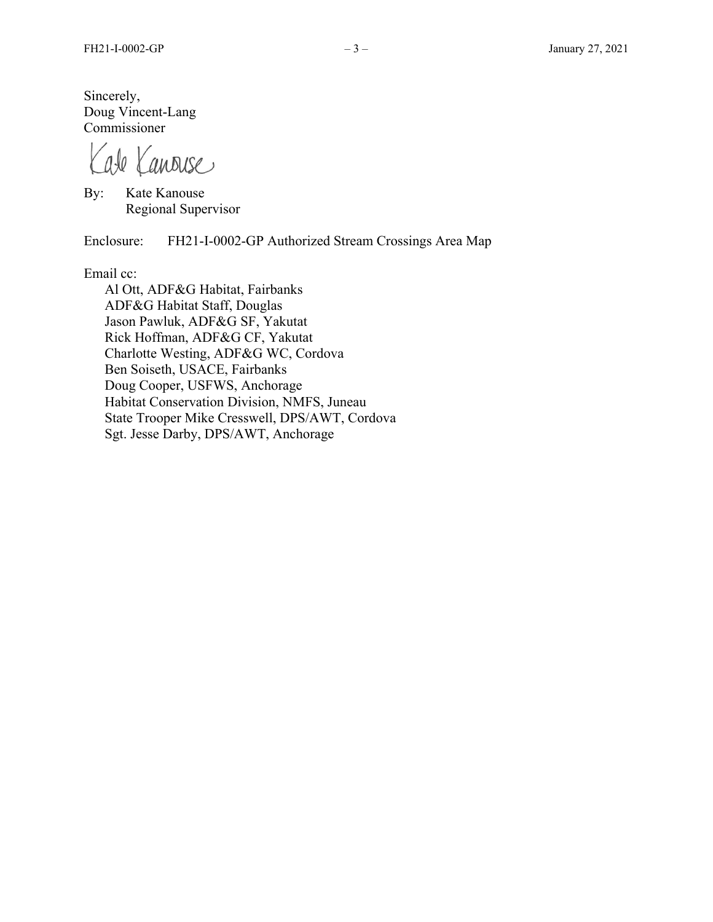Sincerely, Doug Vincent-Lang Commissioner

ate Kanouse

By: Kate Kanouse Regional Supervisor

Enclosure: FH21-I-0002-GP Authorized Stream Crossings Area Map

Email cc:

Al Ott, ADF&G Habitat, Fairbanks ADF&G Habitat Staff, Douglas Jason Pawluk, ADF&G SF, Yakutat Rick Hoffman, ADF&G CF, Yakutat Charlotte Westing, ADF&G WC, Cordova Ben Soiseth, USACE, Fairbanks Doug Cooper, USFWS, Anchorage Habitat Conservation Division, NMFS, Juneau State Trooper Mike Cresswell, DPS/AWT, Cordova Sgt. Jesse Darby, DPS/AWT, Anchorage